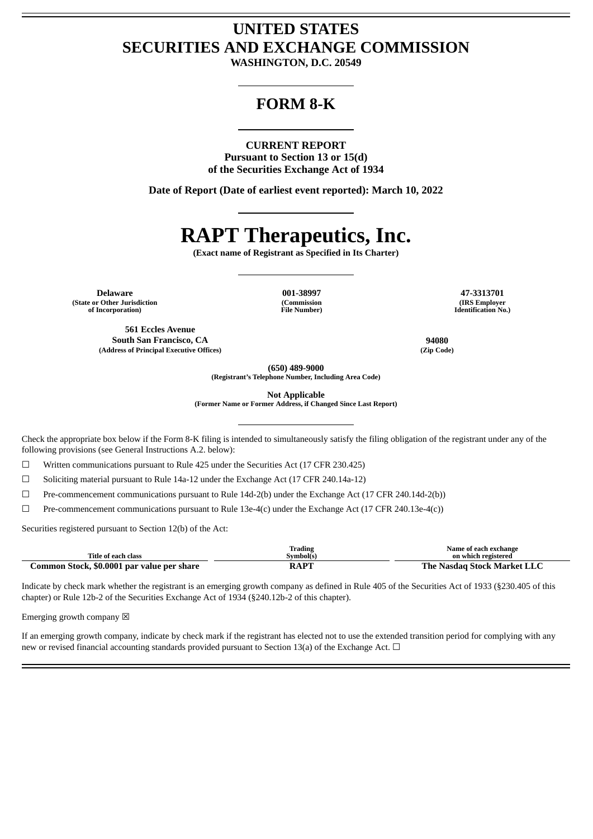## **UNITED STATES SECURITIES AND EXCHANGE COMMISSION**

**WASHINGTON, D.C. 20549**

### **FORM 8-K**

#### **CURRENT REPORT**

**Pursuant to Section 13 or 15(d) of the Securities Exchange Act of 1934**

**Date of Report (Date of earliest event reported): March 10, 2022**

# **RAPT Therapeutics, Inc.**

**(Exact name of Registrant as Specified in Its Charter)**

**Delaware 001-38997 47-3313701 (State or Other Jurisdiction of Incorporation)**

**(Commission File Number)**

**(IRS Employer Identification No.)**

**South San Francisco, CA 94080**

**(Address of Principal Executive Offices) (Zip Code)**

**561 Eccles Avenue**

**(650) 489-9000**

**(Registrant's Telephone Number, Including Area Code)**

**Not Applicable**

**(Former Name or Former Address, if Changed Since Last Report)**

Check the appropriate box below if the Form 8-K filing is intended to simultaneously satisfy the filing obligation of the registrant under any of the following provisions (see General Instructions A.2. below):

 $\Box$  Written communications pursuant to Rule 425 under the Securities Act (17 CFR 230.425)

☐ Soliciting material pursuant to Rule 14a-12 under the Exchange Act (17 CFR 240.14a-12)

☐ Pre-commencement communications pursuant to Rule 14d-2(b) under the Exchange Act (17 CFR 240.14d-2(b))

 $\Box$  Pre-commencement communications pursuant to Rule 13e-4(c) under the Exchange Act (17 CFR 240.13e-4(c))

Securities registered pursuant to Section 12(b) of the Act:

|                                            | Trading   | Name of each exchange              |
|--------------------------------------------|-----------|------------------------------------|
| Title of each class                        | Symbol(s) | on which registered                |
| Common Stock, \$0.0001 par value per share | RAPT      | <b>The Nasdag Stock Market LLC</b> |

Indicate by check mark whether the registrant is an emerging growth company as defined in Rule 405 of the Securities Act of 1933 (§230.405 of this chapter) or Rule 12b-2 of the Securities Exchange Act of 1934 (§240.12b-2 of this chapter).

Emerging growth company  $\boxtimes$ 

If an emerging growth company, indicate by check mark if the registrant has elected not to use the extended transition period for complying with any new or revised financial accounting standards provided pursuant to Section 13(a) of the Exchange Act. □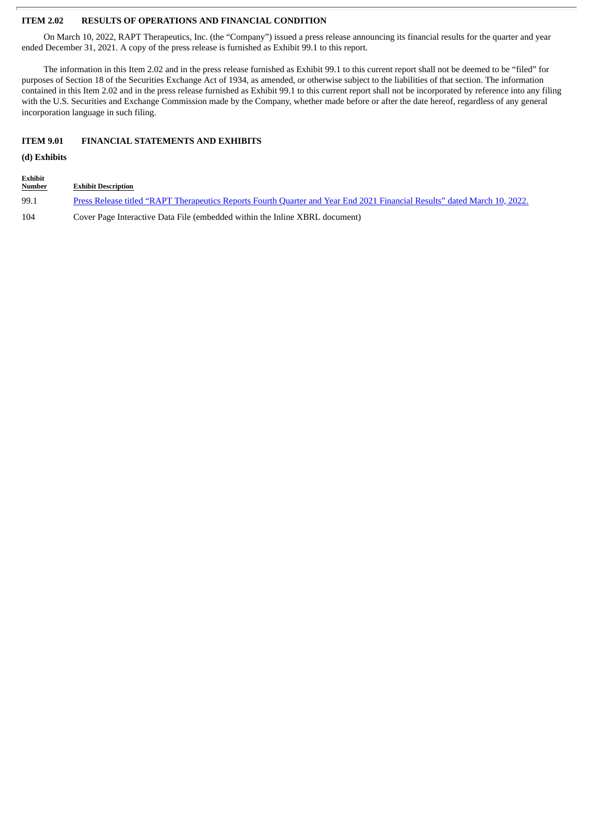#### **ITEM 2.02 RESULTS OF OPERATIONS AND FINANCIAL CONDITION**

On March 10, 2022, RAPT Therapeutics, Inc. (the "Company") issued a press release announcing its financial results for the quarter and year ended December 31, 2021. A copy of the press release is furnished as Exhibit 99.1 to this report.

The information in this Item 2.02 and in the press release furnished as Exhibit 99.1 to this current report shall not be deemed to be "filed" for purposes of Section 18 of the Securities Exchange Act of 1934, as amended, or otherwise subject to the liabilities of that section. The information contained in this Item 2.02 and in the press release furnished as Exhibit 99.1 to this current report shall not be incorporated by reference into any filing with the U.S. Securities and Exchange Commission made by the Company, whether made before or after the date hereof, regardless of any general incorporation language in such filing.

#### **ITEM 9.01 FINANCIAL STATEMENTS AND EXHIBITS**

#### **(d) Exhibits**

**Exhibit**

| ---------<br><b>Number</b> | <b>Exhibit Description</b>                                                                                                |
|----------------------------|---------------------------------------------------------------------------------------------------------------------------|
| 99.1                       | Press Release titled "RAPT Therapeutics Reports Fourth Quarter and Year End 2021 Financial Results" dated March 10, 2022. |
| 104                        | Cover Page Interactive Data File (embedded within the Inline XBRL document)                                               |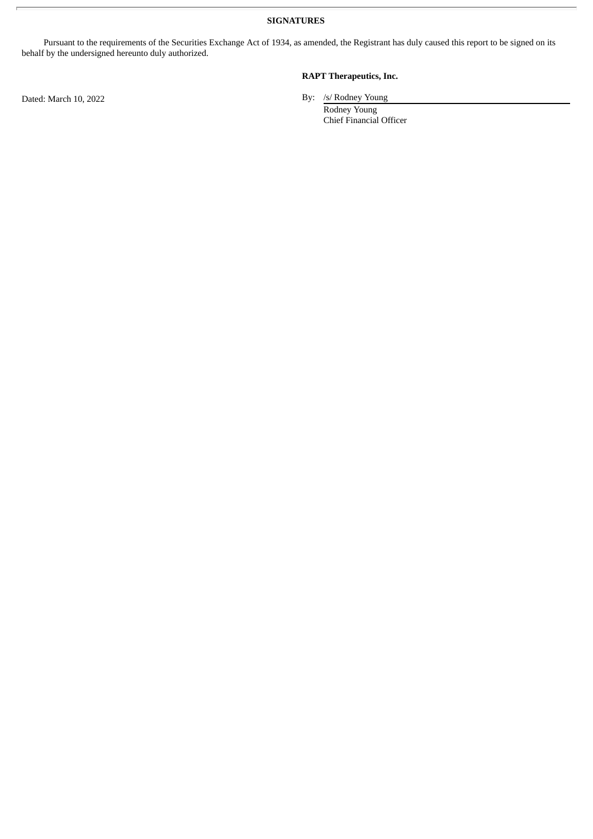**SIGNATURES**

Pursuant to the requirements of the Securities Exchange Act of 1934, as amended, the Registrant has duly caused this report to be signed on its behalf by the undersigned hereunto duly authorized.

Dated: March 10, 2022 By: /s/ Rodney Young

#### **RAPT Therapeutics, Inc.**

Rodney Young Chief Financial Officer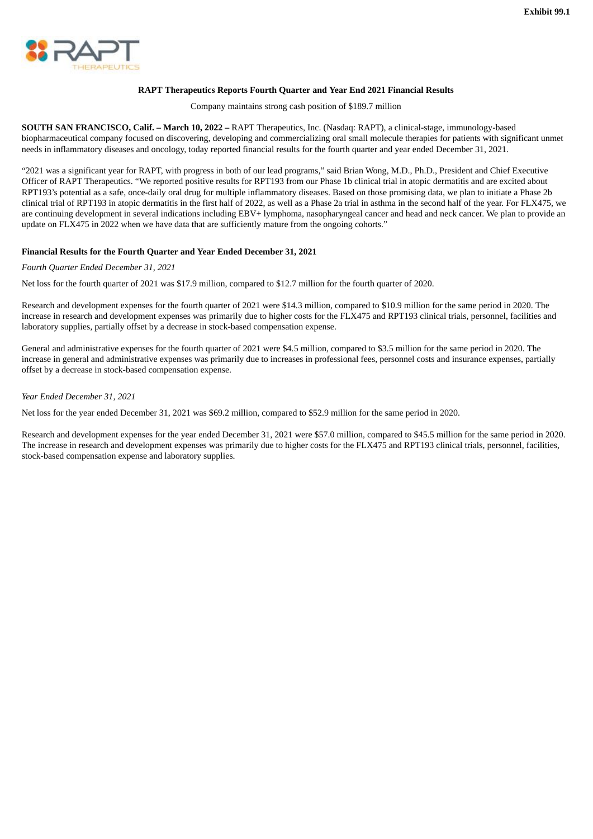<span id="page-3-0"></span>

#### **RAPT Therapeutics Reports Fourth Quarter and Year End 2021 Financial Results**

Company maintains strong cash position of \$189.7 million

**SOUTH SAN FRANCISCO, Calif. – March 10, 2022 –** RAPT Therapeutics, Inc. (Nasdaq: RAPT), a clinical-stage, immunology-based biopharmaceutical company focused on discovering, developing and commercializing oral small molecule therapies for patients with significant unmet needs in inflammatory diseases and oncology, today reported financial results for the fourth quarter and year ended December 31, 2021.

"2021 was a significant year for RAPT, with progress in both of our lead programs," said Brian Wong, M.D., Ph.D., President and Chief Executive Officer of RAPT Therapeutics. "We reported positive results for RPT193 from our Phase 1b clinical trial in atopic dermatitis and are excited about RPT193's potential as a safe, once-daily oral drug for multiple inflammatory diseases. Based on those promising data, we plan to initiate a Phase 2b clinical trial of RPT193 in atopic dermatitis in the first half of 2022, as well as a Phase 2a trial in asthma in the second half of the year. For FLX475, we are continuing development in several indications including EBV+ lymphoma, nasopharyngeal cancer and head and neck cancer. We plan to provide an update on FLX475 in 2022 when we have data that are sufficiently mature from the ongoing cohorts."

#### **Financial Results for the Fourth Quarter and Year Ended December 31, 2021**

#### *Fourth Quarter Ended December 31, 2021*

Net loss for the fourth quarter of 2021 was \$17.9 million, compared to \$12.7 million for the fourth quarter of 2020.

Research and development expenses for the fourth quarter of 2021 were \$14.3 million, compared to \$10.9 million for the same period in 2020. The increase in research and development expenses was primarily due to higher costs for the FLX475 and RPT193 clinical trials, personnel, facilities and laboratory supplies, partially offset by a decrease in stock-based compensation expense.

General and administrative expenses for the fourth quarter of 2021 were \$4.5 million, compared to \$3.5 million for the same period in 2020. The increase in general and administrative expenses was primarily due to increases in professional fees, personnel costs and insurance expenses, partially offset by a decrease in stock-based compensation expense.

#### *Year Ended December 31, 2021*

Net loss for the year ended December 31, 2021 was \$69.2 million, compared to \$52.9 million for the same period in 2020.

Research and development expenses for the year ended December 31, 2021 were \$57.0 million, compared to \$45.5 million for the same period in 2020. The increase in research and development expenses was primarily due to higher costs for the FLX475 and RPT193 clinical trials, personnel, facilities, stock-based compensation expense and laboratory supplies.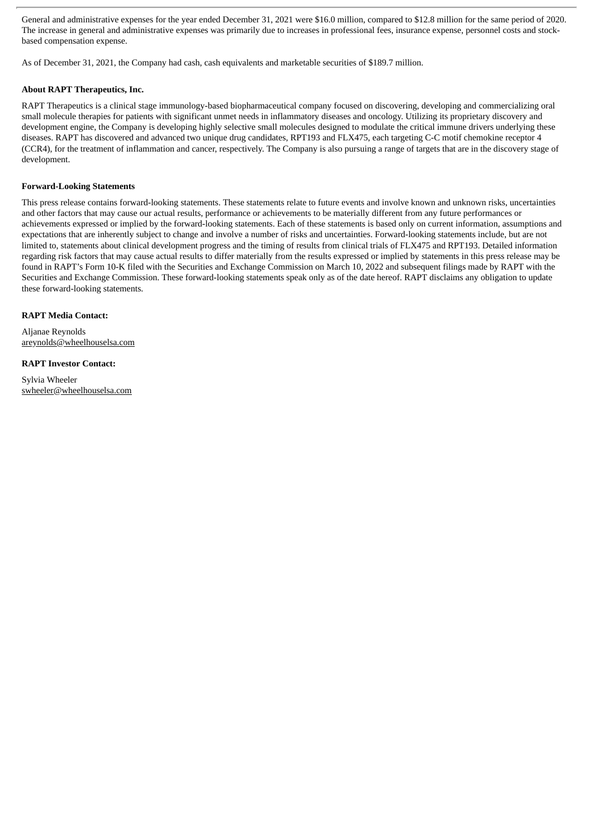General and administrative expenses for the year ended December 31, 2021 were \$16.0 million, compared to \$12.8 million for the same period of 2020. The increase in general and administrative expenses was primarily due to increases in professional fees, insurance expense, personnel costs and stockbased compensation expense.

As of December 31, 2021, the Company had cash, cash equivalents and marketable securities of \$189.7 million.

#### **About RAPT Therapeutics, Inc.**

RAPT Therapeutics is a clinical stage immunology-based biopharmaceutical company focused on discovering, developing and commercializing oral small molecule therapies for patients with significant unmet needs in inflammatory diseases and oncology. Utilizing its proprietary discovery and development engine, the Company is developing highly selective small molecules designed to modulate the critical immune drivers underlying these diseases. RAPT has discovered and advanced two unique drug candidates, RPT193 and FLX475, each targeting C-C motif chemokine receptor 4 (CCR4), for the treatment of inflammation and cancer, respectively. The Company is also pursuing a range of targets that are in the discovery stage of development.

#### **Forward-Looking Statements**

This press release contains forward-looking statements. These statements relate to future events and involve known and unknown risks, uncertainties and other factors that may cause our actual results, performance or achievements to be materially different from any future performances or achievements expressed or implied by the forward-looking statements. Each of these statements is based only on current information, assumptions and expectations that are inherently subject to change and involve a number of risks and uncertainties. Forward-looking statements include, but are not limited to, statements about clinical development progress and the timing of results from clinical trials of FLX475 and RPT193. Detailed information regarding risk factors that may cause actual results to differ materially from the results expressed or implied by statements in this press release may be found in RAPT's Form 10-K filed with the Securities and Exchange Commission on March 10, 2022 and subsequent filings made by RAPT with the Securities and Exchange Commission. These forward-looking statements speak only as of the date hereof. RAPT disclaims any obligation to update these forward-looking statements.

#### **RAPT Media Contact:**

Aljanae Reynolds areynolds@wheelhouselsa.com

#### **RAPT Investor Contact:**

Sylvia Wheeler swheeler@wheelhouselsa.com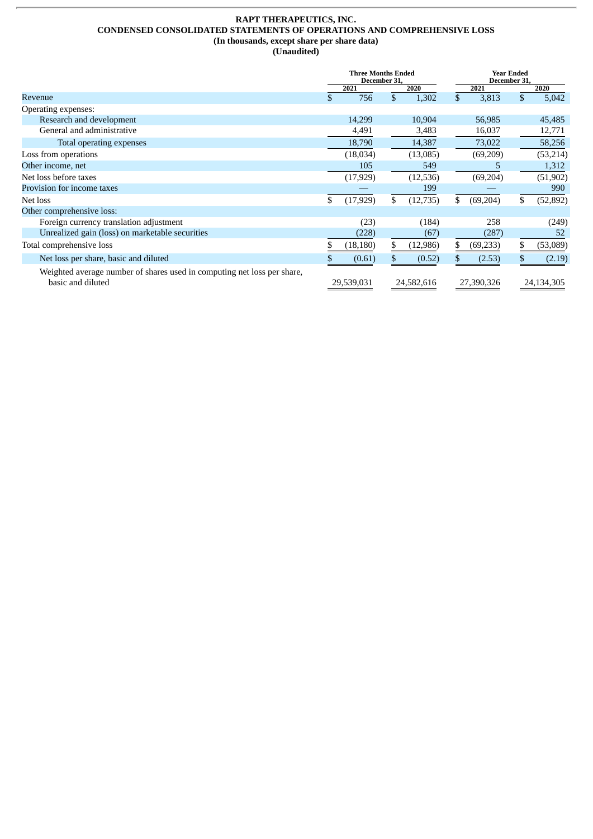#### **RAPT THERAPEUTICS, INC. CONDENSED CONSOLIDATED STATEMENTS OF OPERATIONS AND COMPREHENSIVE LOSS (In thousands, except share per share data) (Unaudited)**

|                                                                                              | <b>Three Months Ended</b><br>December 31, |            |    | <b>Year Ended</b><br>December 31, |    |            |    |            |
|----------------------------------------------------------------------------------------------|-------------------------------------------|------------|----|-----------------------------------|----|------------|----|------------|
|                                                                                              |                                           | 2021       |    | 2020                              |    | 2021       |    | 2020       |
| Revenue                                                                                      | \$                                        | 756        | \$ | 1,302                             | \$ | 3,813      | \$ | 5,042      |
| Operating expenses:                                                                          |                                           |            |    |                                   |    |            |    |            |
| Research and development                                                                     |                                           | 14,299     |    | 10,904                            |    | 56,985     |    | 45,485     |
| General and administrative                                                                   |                                           | 4,491      |    | 3,483                             |    | 16,037     |    | 12,771     |
| Total operating expenses                                                                     |                                           | 18,790     |    | 14,387                            |    | 73,022     |    | 58,256     |
| Loss from operations                                                                         |                                           | (18,034)   |    | (13,085)                          |    | (69, 209)  |    | (53, 214)  |
| Other income, net                                                                            |                                           | 105        |    | 549                               |    | 5          |    | 1,312      |
| Net loss before taxes                                                                        |                                           | (17, 929)  |    | (12,536)                          |    | (69, 204)  |    | (51, 902)  |
| Provision for income taxes                                                                   |                                           |            |    | 199                               |    |            |    | 990        |
| Net loss                                                                                     | \$                                        | (17, 929)  | \$ | (12,735)                          | \$ | (69,204)   | \$ | (52, 892)  |
| Other comprehensive loss:                                                                    |                                           |            |    |                                   |    |            |    |            |
| Foreign currency translation adjustment                                                      |                                           | (23)       |    | (184)                             |    | 258        |    | (249)      |
| Unrealized gain (loss) on marketable securities                                              |                                           | (228)      |    | (67)                              |    | (287)      |    | 52         |
| Total comprehensive loss                                                                     |                                           | (18, 180)  | S. | (12,986)                          | \$ | (69, 233)  | \$ | (53,089)   |
| Net loss per share, basic and diluted                                                        |                                           | (0.61)     |    | (0.52)                            |    | (2.53)     |    | (2.19)     |
| Weighted average number of shares used in computing net loss per share,<br>basic and diluted |                                           | 29,539,031 |    | 24,582,616                        |    | 27,390,326 |    | 24,134,305 |